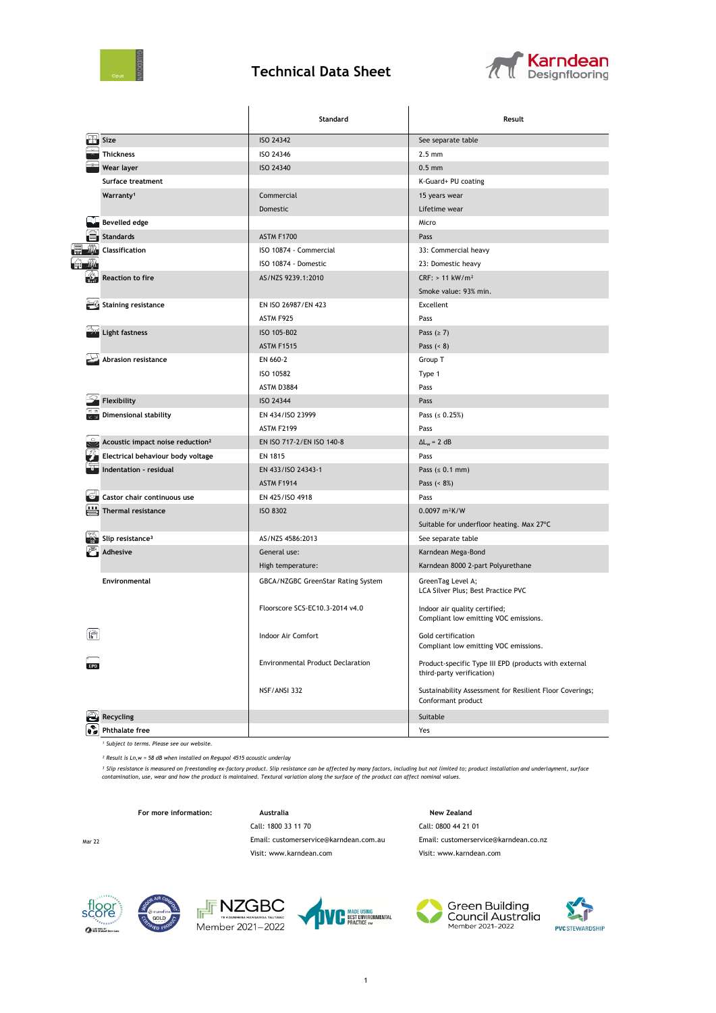

## **Technical Data Sheet**



|                                              | Standard                                 | Result                                                                             |  |
|----------------------------------------------|------------------------------------------|------------------------------------------------------------------------------------|--|
| Size                                         | ISO 24342                                | See separate table                                                                 |  |
| <b>Thickness</b>                             | ISO 24346                                | $2.5 \text{ mm}$                                                                   |  |
| Wear layer                                   | ISO 24340                                | $0.5$ mm                                                                           |  |
| Surface treatment                            |                                          | K-Guard+ PU coating                                                                |  |
| Warranty <sup>1</sup>                        | Commercial                               | 15 years wear                                                                      |  |
|                                              | Domestic                                 | Lifetime wear                                                                      |  |
| <b>Bevelled edge</b>                         |                                          | Micro                                                                              |  |
| <b>Standards</b>                             | <b>ASTM F1700</b>                        | Pass                                                                               |  |
| Classification                               | ISO 10874 - Commercial                   | 33: Commercial heavy                                                               |  |
|                                              | ISO 10874 - Domestic                     | 23: Domestic heavy                                                                 |  |
| <b>Reaction to fire</b>                      | AS/NZS 9239.1:2010                       | $CRF: > 11$ kW/m <sup>2</sup>                                                      |  |
|                                              |                                          | Smoke value: 93% min.                                                              |  |
| <b>Staining resistance</b>                   | EN ISO 26987/EN 423                      | Excellent                                                                          |  |
|                                              | ASTM F925                                | Pass                                                                               |  |
| <b>Light fastness</b>                        | ISO 105-B02                              | Pass ( $\geq$ 7)                                                                   |  |
|                                              | <b>ASTM F1515</b>                        | Pass $(8)$                                                                         |  |
| Abrasion resistance                          | EN 660-2                                 | Group T                                                                            |  |
|                                              | ISO 10582                                | Type 1                                                                             |  |
|                                              | ASTM D3884                               | Pass                                                                               |  |
| Flexibility                                  | ISO 24344                                | Pass                                                                               |  |
| <b>Dimensional stability</b>                 | EN 434/ISO 23999                         | Pass $( \le 0.25\%)$                                                               |  |
|                                              | <b>ASTM F2199</b>                        | Pass                                                                               |  |
| Acoustic impact noise reduction <sup>2</sup> | EN ISO 717-2/EN ISO 140-8                | $\Delta L_w = 2 dB$                                                                |  |
| Electrical behaviour body voltage            | EN 1815                                  | Pass                                                                               |  |
| Indentation - residual                       | EN 433/ISO 24343-1                       | Pass $(s 0.1 mm)$                                                                  |  |
|                                              | <b>ASTM F1914</b>                        | Pass $( < 8\%)$                                                                    |  |
| Castor chair continuous use                  | EN 425/ISO 4918                          | Pass                                                                               |  |
| Thermal resistance                           | <b>ISO 8302</b>                          | 0.0097 m <sup>2</sup> K/W                                                          |  |
|                                              |                                          | Suitable for underfloor heating. Max 27°C                                          |  |
| Slip resistance <sup>3</sup>                 | AS/NZS 4586:2013                         | See separate table                                                                 |  |
| <b>Adhesive</b>                              | General use:                             | Karndean Mega-Bond                                                                 |  |
|                                              | High temperature:                        | Karndean 8000 2-part Polyurethane                                                  |  |
| <b>Environmental</b>                         | GBCA/NZGBC GreenStar Rating System       | GreenTag Level A;<br>LCA Silver Plus; Best Practice PVC                            |  |
|                                              | Floorscore SCS-EC10.3-2014 v4.0          | Indoor air quality certified;<br>Compliant low emitting VOC emissions.             |  |
| 倫                                            | Indoor Air Comfort                       | Gold certification<br>Compliant low emitting VOC emissions.                        |  |
|                                              | <b>Environmental Product Declaration</b> | Product-specific Type III EPD (products with external<br>third-party verification) |  |
|                                              | NSF/ANSI 332                             | Sustainability Assessment for Resilient Floor Coverings;<br>Conformant product     |  |
| Recycling                                    |                                          | Suitable                                                                           |  |
| <b>Phthalate free</b>                        |                                          | Yes                                                                                |  |

*¹ Subject to terms. Please see our website.*

*² Result is Ln,w = 58 dB when installed on Regupol 4515 acoustic underlay*

<sup>3</sup> Slip resistance is measured on freestanding ex-factory product. Slip resistance can be affected by many factors, including but not limited to; product installation and underlayment, surface<br>contamination, use, wear and

Call: 1800 33 11 70 Call: 0800 44 21 01

Visit: www.karndean.com Visit: www.karndean.com

For more information: **Australia** Australia **New Zealand** 

Mar 22 Email: customerservice@karndean.com.au Email: customerservice@karndean.co.nz

 $f<sub>0</sub>$  $\alpha$